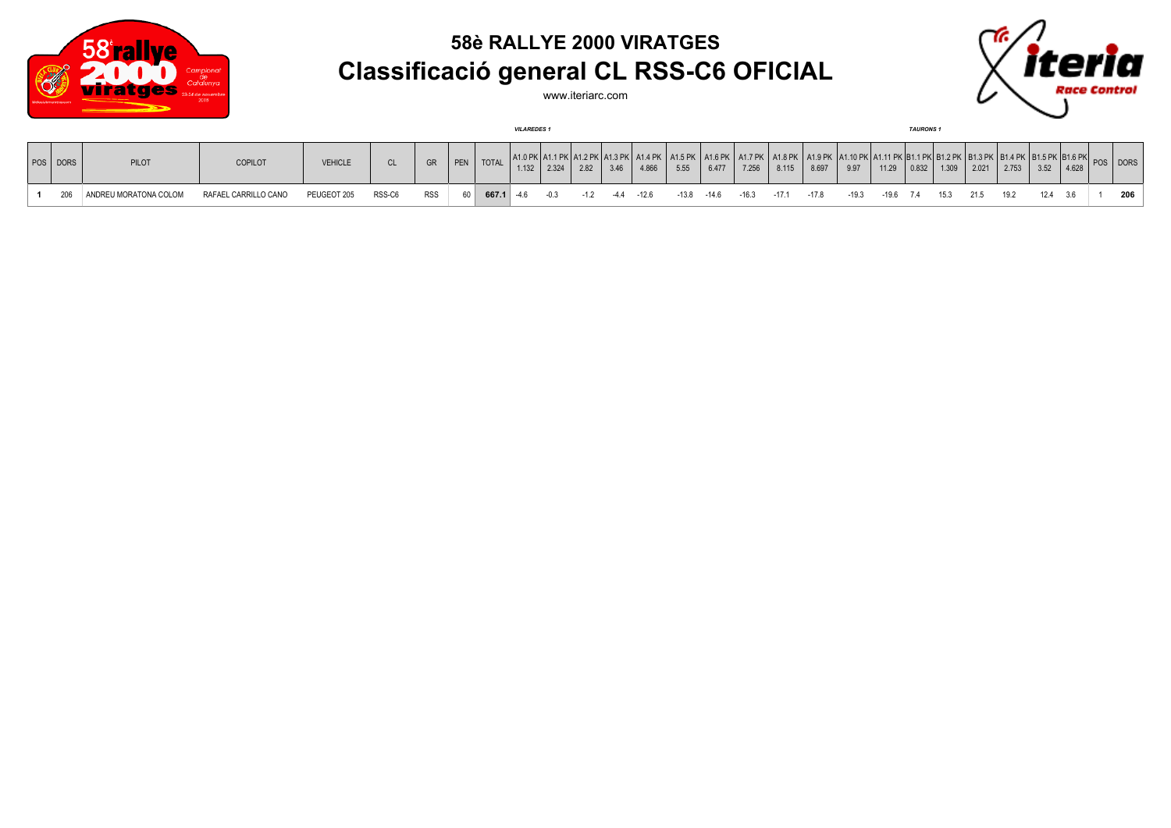

## **58è RALLYE 2000 VIRATGES Classificació general CL RSS-C6 OFICIAL**



www.iteriarc.com

|          |                       |                      |                |           |            |                    |                      | <b>VILAREDES1</b> |               |      |                       |       |                         |       |                                                                                                                                                                                                  |         |         |                 |       | <b>TAURONS1</b> |                           |               |      |      |       |              |     |
|----------|-----------------------|----------------------|----------------|-----------|------------|--------------------|----------------------|-------------------|---------------|------|-----------------------|-------|-------------------------|-------|--------------------------------------------------------------------------------------------------------------------------------------------------------------------------------------------------|---------|---------|-----------------|-------|-----------------|---------------------------|---------------|------|------|-------|--------------|-----|
| POS DORS | PILOT                 | COPILOT              | <b>VEHICLE</b> | <b>CL</b> | GR         | $\overline{P}$ PEN | <b>TOTAL</b>         |                   | $1.132$ 2.324 | 2.82 | 3.46                  | 4.866 | 5.55                    | 6.477 | A1.0 PK A1.1 PK A1.2 PK A1.3 PK  A1.4 PK   A1.5 PK   A1.6 PK   A1.7 PK   A1.8 PK   A1.9 PK  A1.10 PK  A1.11 PK  B1.1 PK   B1.2 PK   B1.2 PK   B1.3 PK   B1.5 PK  B1.6 PK   $_{\rm DPC}$<br>7.256 | 8.115   | 8.697   | 9.97            | 11.29 |                 | $\vert 0.832 \vert 1.309$ | 2.021   2.753 |      | 3.52 | 4.628 | I POS I DORS |     |
| 206      | ANDREU MORATONA COLOM | RAFAEL CARRILLO CANO | PEUGEOT 205    | RSS-C6    | <b>RSS</b> |                    | $60$ 667.1 -4.6 -0.3 |                   |               |      | $-1.2$ $-4.4$ $-12.6$ |       | $-13.8$ $-14.6$ $-16.3$ |       |                                                                                                                                                                                                  | $-17.1$ | $-17.8$ | -19.3 -19.6 7.4 |       |                 | 15.3                      | 21.5          | 19.2 | 124  | 3.6   |              | 206 |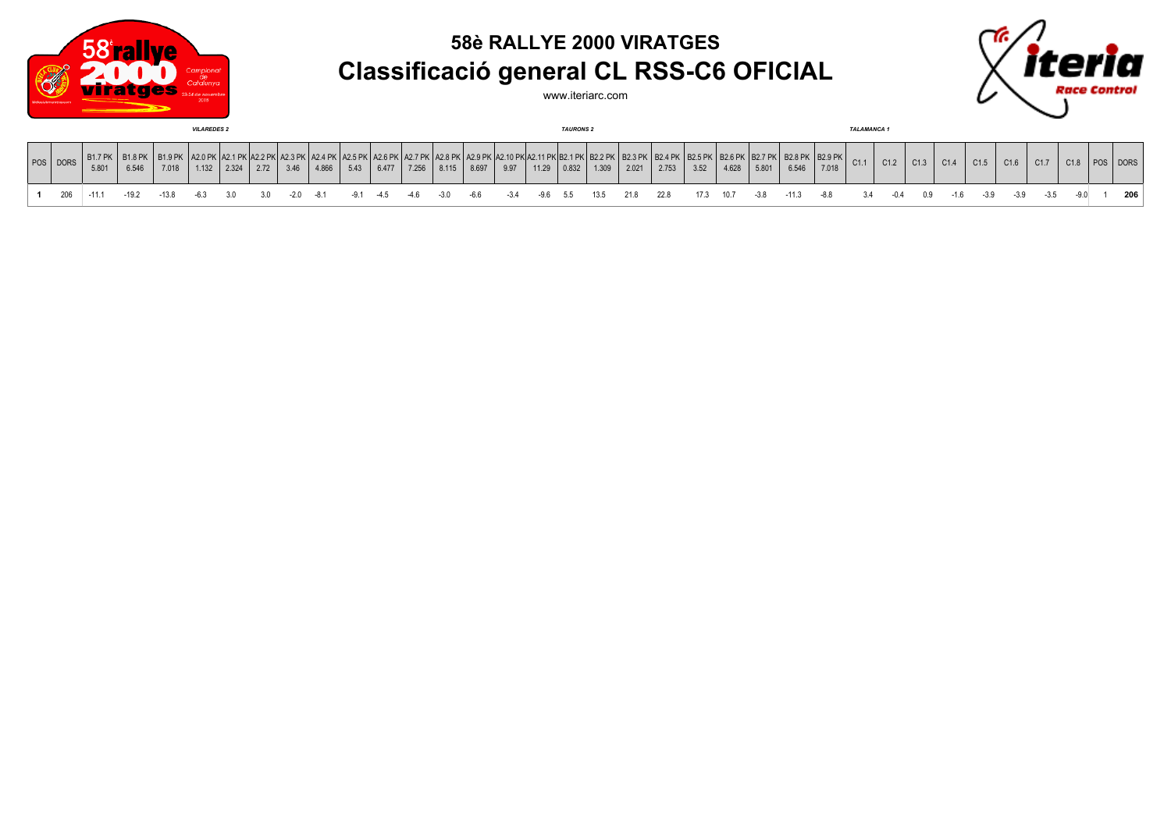

## **58è RALLYE 2000 VIRATGES Classificació general CL RSS-C6 OFICIAL**

www.iteriarc.com



| <b>VILAREDES 2</b> |     |                                                                                          |                         |       |  |               |      |             |       |              |       |     | <b>TAURONS 2</b> |       |                                                             |                    |               |       |       |       |                      |           | <b>TALAMANCA1</b> |         |                                                   |     |      |                          |       |      |      |      |      |     |
|--------------------|-----|------------------------------------------------------------------------------------------|-------------------------|-------|--|---------------|------|-------------|-------|--------------|-------|-----|------------------|-------|-------------------------------------------------------------|--------------------|---------------|-------|-------|-------|----------------------|-----------|-------------------|---------|---------------------------------------------------|-----|------|--------------------------|-------|------|------|------|------|-----|
|                    |     | $POS$ DORS $\left \begin{array}{c} B1.7 \text{ PK} \\ 5.801 \end{array}\right $<br>5.801 | <b>B1.8 PK</b><br>6.546 | 7.018 |  | $1.132$ 2.324 | 2.72 | 3.46        | 4.866 | 5.43         | 6.477 |     | 7.256 8.115      | 8.697 | ן אם פיפון אם זי פם ואם זי פגואם מזי פגון אם מימון:<br>9.97 |                    | $11.29$ 0.832 | 1.309 | 2.021 | 2.753 | PK   B2.5 PK<br>3.52 | 4.628     | 5.801             | 6.546   | $K$ B2.6 PK B2.7 PK B2.8 PK B2.9 PK C1.1<br>7.018 |     | C1.2 | $\vert$ C <sub>1.3</sub> | C1.4  | C1.5 | C1.6 | C1.7 | C1.8 |     |
|                    | 206 | $-11.1$                                                                                  | $-19.2$                 | -13.8 |  |               |      | $-2.0 -8.1$ |       | $-9.1 - 4.5$ |       | -46 | -3.0 -6.6        |       | $-3.4$                                                      | -9.6 5.5 13.5 21.8 |               |       |       | 22.8  |                      | 17.3 10.7 | $-3.8$            | $-11.3$ |                                                   | 3.4 |      | 0.9                      | $-16$ |      | -39  |      |      | 206 |